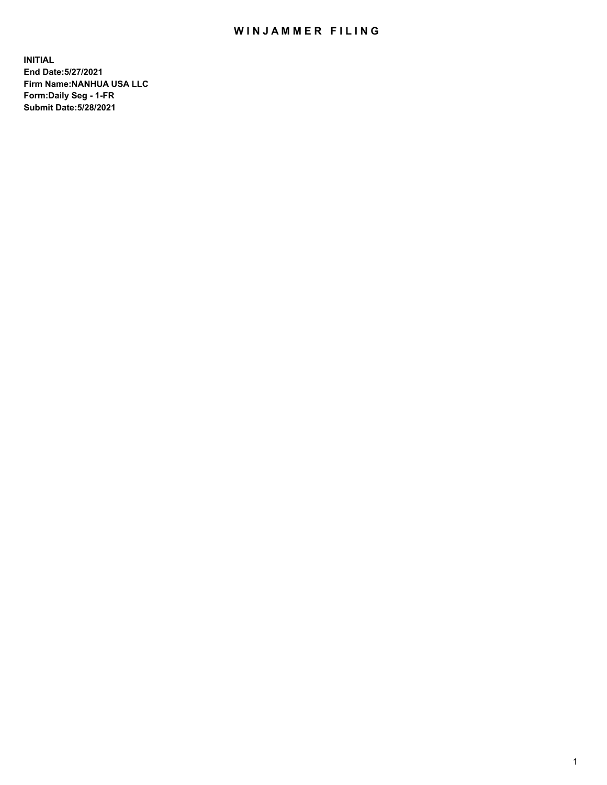## WIN JAMMER FILING

**INITIAL End Date:5/27/2021 Firm Name:NANHUA USA LLC Form:Daily Seg - 1-FR Submit Date:5/28/2021**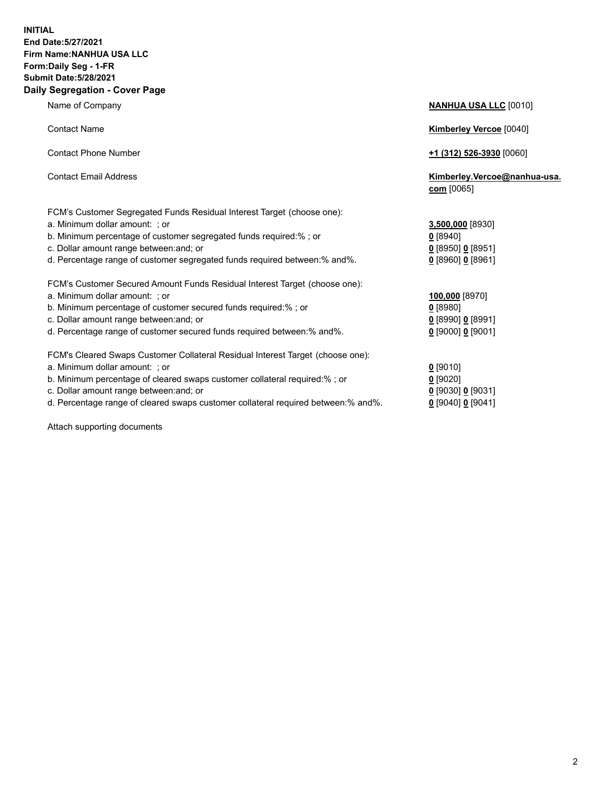## **INITIAL End Date:5/27/2021 Firm Name:NANHUA USA LLC Form:Daily Seg - 1-FR Submit Date:5/28/2021 Daily Segregation - Cover Page**

| <b>Contact Name</b>                                                            | <b>Kimberley Vercoe</b> [0040]               |
|--------------------------------------------------------------------------------|----------------------------------------------|
| <b>Contact Phone Number</b>                                                    | <u>+1 (312) 526-3930</u> [0060]              |
| <b>Contact Email Address</b>                                                   | Kimberley.Vercoe@nanhua-usa.<br>$com$ [0065] |
| FCM's Customer Segregated Funds Residual Interest Target (choose one):         |                                              |
| a. Minimum dollar amount: ; or                                                 | 3,500,000 [8930]                             |
| b. Minimum percentage of customer segregated funds required:% ; or             | $0$ [8940]                                   |
| c. Dollar amount range between: and; or                                        | $0$ [8950] 0 [8951]                          |
| d. Percentage range of customer segregated funds required between: % and %.    | 0 [8960] 0 [8961]                            |
| FCM's Customer Secured Amount Funds Residual Interest Target (choose one):     |                                              |
| a. Minimum dollar amount: ; or                                                 | 100,000 [8970]                               |
| b. Minimum percentage of customer secured funds required:%; or                 | $0$ [8980]                                   |
| c. Dollar amount range between: and; or                                        | 0 [8990] 0 [8991]                            |
| d. Percentage range of customer secured funds required between:% and%.         | $0$ [9000] $0$ [9001]                        |
| FCM's Cleared Swaps Customer Collateral Residual Interest Target (choose one): |                                              |
| a. Minimum dollar amount: ; or                                                 | $0$ [9010]                                   |
| b. Minimum percentage of cleared swaps customer collateral required:% ; or     | $0$ [9020]                                   |

- c. Dollar amount range between:and; or **0** [9030] **0** [9031]
- d. Percentage range of cleared swaps customer collateral required between:% and%. **0** [9040] **0** [9041]

Attach supporting documents

**Name of Company <b>NANHUA USA LLC** [0010]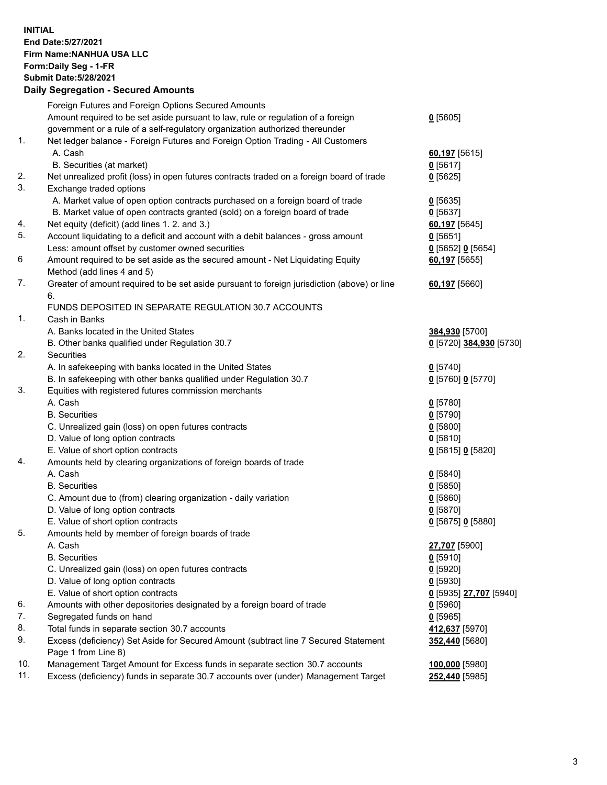## **INITIAL End Date:5/27/2021 Firm Name:NANHUA USA LLC Form:Daily Seg - 1-FR Submit Date:5/28/2021 Daily Segregation - Secured Amounts**

|     | Foreign Futures and Foreign Options Secured Amounts                                                        |                         |
|-----|------------------------------------------------------------------------------------------------------------|-------------------------|
|     | Amount required to be set aside pursuant to law, rule or regulation of a foreign                           | $0$ [5605]              |
|     | government or a rule of a self-regulatory organization authorized thereunder                               |                         |
| 1.  | Net ledger balance - Foreign Futures and Foreign Option Trading - All Customers                            |                         |
|     | A. Cash                                                                                                    | 60,197 [5615]           |
|     | B. Securities (at market)                                                                                  | $0$ [5617]              |
| 2.  | Net unrealized profit (loss) in open futures contracts traded on a foreign board of trade                  | $0$ [5625]              |
| 3.  | Exchange traded options                                                                                    |                         |
|     | A. Market value of open option contracts purchased on a foreign board of trade                             | $0$ [5635]              |
|     | B. Market value of open contracts granted (sold) on a foreign board of trade                               | $0$ [5637]              |
| 4.  | Net equity (deficit) (add lines 1. 2. and 3.)                                                              | 60,197 [5645]           |
| 5.  | Account liquidating to a deficit and account with a debit balances - gross amount                          | $0$ [5651]              |
|     | Less: amount offset by customer owned securities                                                           | $0$ [5652] 0 [5654]     |
| 6   | Amount required to be set aside as the secured amount - Net Liquidating Equity                             | 60,197 [5655]           |
|     | Method (add lines 4 and 5)                                                                                 |                         |
| 7.  | Greater of amount required to be set aside pursuant to foreign jurisdiction (above) or line                | 60,197 [5660]           |
|     | 6.                                                                                                         |                         |
|     | FUNDS DEPOSITED IN SEPARATE REGULATION 30.7 ACCOUNTS                                                       |                         |
| 1.  | Cash in Banks                                                                                              |                         |
|     | A. Banks located in the United States                                                                      | 384,930 [5700]          |
|     | B. Other banks qualified under Regulation 30.7                                                             | 0 [5720] 384,930 [5730] |
| 2.  | Securities                                                                                                 |                         |
|     | A. In safekeeping with banks located in the United States                                                  | $0$ [5740]              |
|     | B. In safekeeping with other banks qualified under Regulation 30.7                                         | 0 [5760] 0 [5770]       |
| 3.  | Equities with registered futures commission merchants                                                      |                         |
|     | A. Cash                                                                                                    | $0$ [5780]              |
|     | <b>B.</b> Securities                                                                                       | $0$ [5790]              |
|     | C. Unrealized gain (loss) on open futures contracts                                                        | $0$ [5800]              |
|     | D. Value of long option contracts                                                                          | $0$ [5810]              |
|     | E. Value of short option contracts                                                                         | 0 [5815] 0 [5820]       |
| 4.  | Amounts held by clearing organizations of foreign boards of trade                                          |                         |
|     | A. Cash                                                                                                    | $0$ [5840]              |
|     | <b>B.</b> Securities                                                                                       | $0$ [5850]              |
|     | C. Amount due to (from) clearing organization - daily variation                                            | $0$ [5860]              |
|     | D. Value of long option contracts                                                                          | $0$ [5870]              |
|     | E. Value of short option contracts                                                                         | 0 [5875] 0 [5880]       |
| 5.  | Amounts held by member of foreign boards of trade                                                          |                         |
|     | A. Cash                                                                                                    | 27,707 [5900]           |
|     | <b>B.</b> Securities                                                                                       | $0$ [5910]              |
|     | C. Unrealized gain (loss) on open futures contracts                                                        | $0$ [5920]              |
|     | D. Value of long option contracts                                                                          | $0$ [5930]              |
|     | E. Value of short option contracts                                                                         | 0 [5935] 27,707 [5940]  |
| 6.  | Amounts with other depositories designated by a foreign board of trade                                     | $0$ [5960]              |
| 7.  | Segregated funds on hand                                                                                   | $0$ [5965]              |
| 8.  | Total funds in separate section 30.7 accounts                                                              | 412,637 [5970]          |
| 9.  | Excess (deficiency) Set Aside for Secured Amount (subtract line 7 Secured Statement<br>Page 1 from Line 8) | 352,440 [5680]          |
| 10. | Management Target Amount for Excess funds in separate section 30.7 accounts                                | 100,000 [5980]          |
| 11. | Excess (deficiency) funds in separate 30.7 accounts over (under) Management Target                         | 252,440 [5985]          |
|     |                                                                                                            |                         |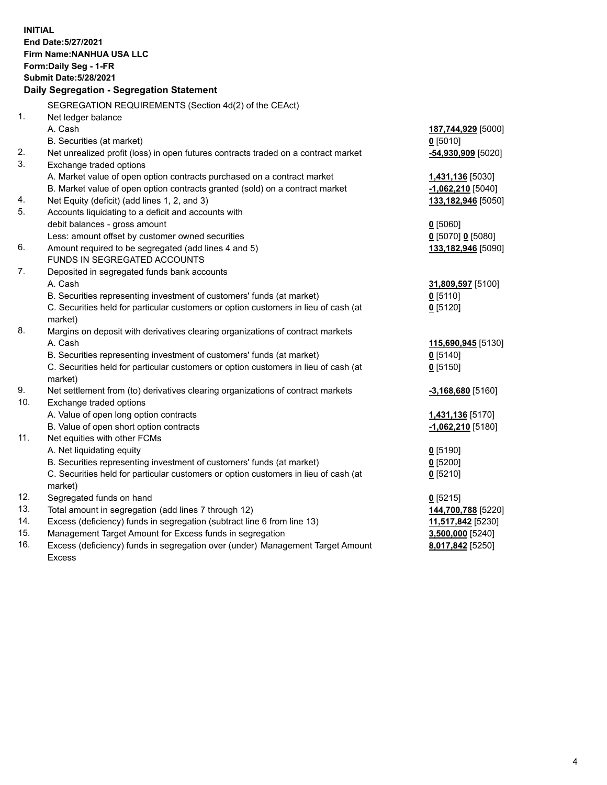| <b>INITIAL</b> | End Date: 5/27/2021<br>Firm Name: NANHUA USA LLC<br>Form: Daily Seg - 1-FR<br><b>Submit Date: 5/28/2021</b><br>Daily Segregation - Segregation Statement     |                     |
|----------------|--------------------------------------------------------------------------------------------------------------------------------------------------------------|---------------------|
|                | SEGREGATION REQUIREMENTS (Section 4d(2) of the CEAct)                                                                                                        |                     |
| 1.             | Net ledger balance                                                                                                                                           |                     |
|                | A. Cash                                                                                                                                                      | 187,744,929 [5000]  |
|                | B. Securities (at market)                                                                                                                                    | $0$ [5010]          |
| 2.             | Net unrealized profit (loss) in open futures contracts traded on a contract market                                                                           | -54,930,909 [5020]  |
| 3.             | Exchange traded options                                                                                                                                      |                     |
|                | A. Market value of open option contracts purchased on a contract market                                                                                      | 1,431,136 [5030]    |
|                | B. Market value of open option contracts granted (sold) on a contract market                                                                                 | $-1,062,210$ [5040] |
| 4.             | Net Equity (deficit) (add lines 1, 2, and 3)                                                                                                                 | 133,182,946 [5050]  |
| 5.             | Accounts liquidating to a deficit and accounts with                                                                                                          |                     |
|                | debit balances - gross amount                                                                                                                                | $0$ [5060]          |
|                | Less: amount offset by customer owned securities                                                                                                             | 0 [5070] 0 [5080]   |
| 6.             | Amount required to be segregated (add lines 4 and 5)                                                                                                         | 133,182,946 [5090]  |
|                | FUNDS IN SEGREGATED ACCOUNTS                                                                                                                                 |                     |
| 7.             | Deposited in segregated funds bank accounts<br>A. Cash                                                                                                       |                     |
|                |                                                                                                                                                              | 31,809,597 [5100]   |
|                | B. Securities representing investment of customers' funds (at market)<br>C. Securities held for particular customers or option customers in lieu of cash (at | $0$ [5110]          |
|                | market)                                                                                                                                                      | $0$ [5120]          |
| 8.             | Margins on deposit with derivatives clearing organizations of contract markets                                                                               |                     |
|                | A. Cash                                                                                                                                                      | 115,690,945 [5130]  |
|                | B. Securities representing investment of customers' funds (at market)                                                                                        | $0$ [5140]          |
|                | C. Securities held for particular customers or option customers in lieu of cash (at                                                                          | $0$ [5150]          |
|                | market)                                                                                                                                                      |                     |
| 9.             | Net settlement from (to) derivatives clearing organizations of contract markets                                                                              | $-3,168,680$ [5160] |
| 10.            | Exchange traded options                                                                                                                                      |                     |
|                | A. Value of open long option contracts                                                                                                                       | 1,431,136 [5170]    |
|                | B. Value of open short option contracts                                                                                                                      | $-1,062,210$ [5180] |
| 11.            | Net equities with other FCMs                                                                                                                                 |                     |
|                | A. Net liquidating equity                                                                                                                                    | $0$ [5190]          |
|                | B. Securities representing investment of customers' funds (at market)                                                                                        | $0$ [5200]          |
|                | C. Securities held for particular customers or option customers in lieu of cash (at                                                                          | $0$ [5210]          |
|                | market)                                                                                                                                                      |                     |
| 12.            | Segregated funds on hand                                                                                                                                     | $0$ [5215]          |
| 13.            | Total amount in segregation (add lines 7 through 12)                                                                                                         | 144,700,788 [5220]  |
| 14.            | Excess (deficiency) funds in segregation (subtract line 6 from line 13)                                                                                      | 11,517,842 [5230]   |
| 15.            | Management Target Amount for Excess funds in segregation                                                                                                     | 3,500,000 [5240]    |
| 16.            | Excess (deficiency) funds in segregation over (under) Management Target Amount                                                                               | 8,017,842 [5250]    |
|                | <b>Excess</b>                                                                                                                                                |                     |